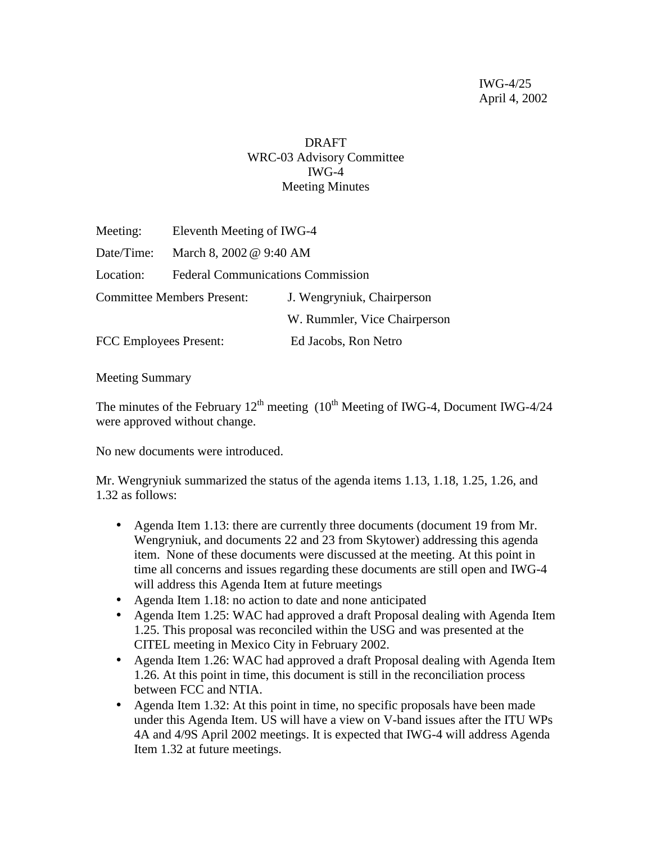## DRAFT WRC-03 Advisory Committee IWG-4 Meeting Minutes

| Meeting:                          | Eleventh Meeting of IWG-4                |                              |  |  |  |
|-----------------------------------|------------------------------------------|------------------------------|--|--|--|
| Date/Time:                        | March 8, 2002 @ 9:40 AM                  |                              |  |  |  |
| Location:                         | <b>Federal Communications Commission</b> |                              |  |  |  |
| <b>Committee Members Present:</b> |                                          | J. Wengryniuk, Chairperson   |  |  |  |
|                                   |                                          | W. Rummler, Vice Chairperson |  |  |  |
| <b>FCC Employees Present:</b>     |                                          | Ed Jacobs, Ron Netro         |  |  |  |

Meeting Summary

The minutes of the February  $12^{th}$  meeting  $(10^{th}$  Meeting of IWG-4, Document IWG-4/24 were approved without change.

No new documents were introduced.

Mr. Wengryniuk summarized the status of the agenda items 1.13, 1.18, 1.25, 1.26, and 1.32 as follows:

- Agenda Item 1.13: there are currently three documents (document 19 from Mr. Wengryniuk, and documents 22 and 23 from Skytower) addressing this agenda item. None of these documents were discussed at the meeting. At this point in time all concerns and issues regarding these documents are still open and IWG-4 will address this Agenda Item at future meetings
- Agenda Item 1.18: no action to date and none anticipated
- Agenda Item 1.25: WAC had approved a draft Proposal dealing with Agenda Item 1.25. This proposal was reconciled within the USG and was presented at the CITEL meeting in Mexico City in February 2002.
- Agenda Item 1.26: WAC had approved a draft Proposal dealing with Agenda Item 1.26. At this point in time, this document is still in the reconciliation process between FCC and NTIA.
- Agenda Item 1.32: At this point in time, no specific proposals have been made under this Agenda Item. US will have a view on V-band issues after the ITU WPs 4A and 4/9S April 2002 meetings. It is expected that IWG-4 will address Agenda Item 1.32 at future meetings.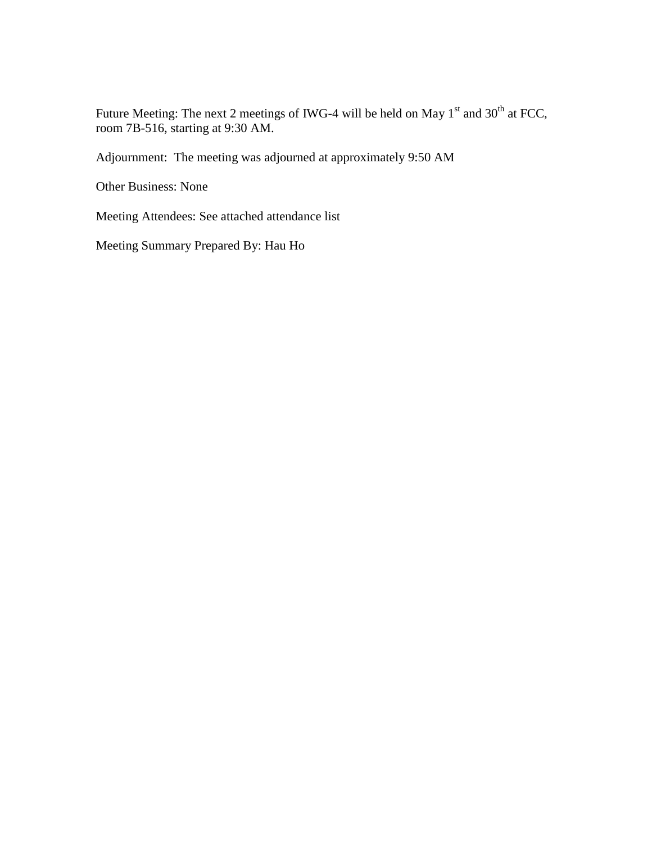Future Meeting: The next 2 meetings of IWG-4 will be held on May  $1<sup>st</sup>$  and  $30<sup>th</sup>$  at FCC, room 7B-516, starting at 9:30 AM.

Adjournment: The meeting was adjourned at approximately 9:50 AM

Other Business: None

Meeting Attendees: See attached attendance list

Meeting Summary Prepared By: Hau Ho